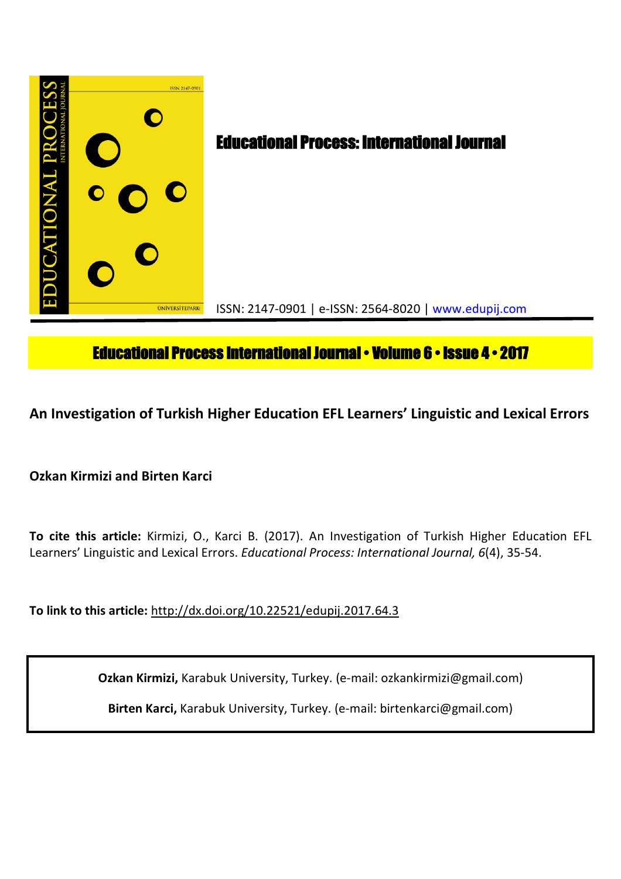

# **Educational Process International Journal • Volume 6 • Issue 4 • 2017**

**An Investigation of Turkish Higher Education EFL Learners' Linguistic and Lexical Errors** 

**Ozkan Kirmizi and Birten Karci**

**To cite this article:** Kirmizi, O., Karci B. (2017). An Investigation of Turkish Higher Education EFL Learners' Linguistic and Lexical Errors. *Educational Process: International Journal, 6*(4), 35-54.

**To link to this article:** http://dx.doi.org/10.22521/edupij.2017.64.3

**Ozkan Kirmizi,** Karabuk University, Turkey. (e-mail: ozkankirmizi@gmail.com)

**Birten Karci,** Karabuk University, Turkey. (e-mail: birtenkarci@gmail.com)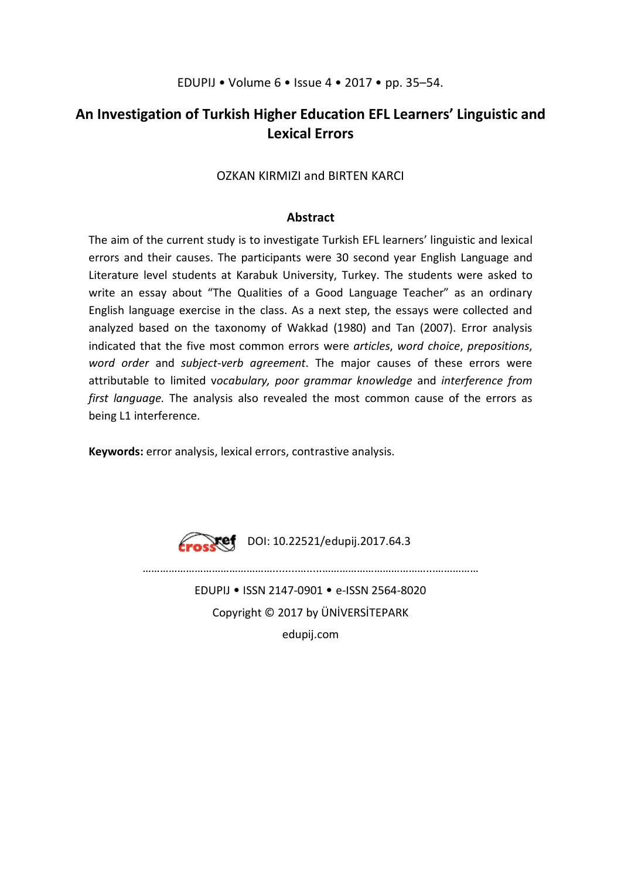# **An Investigation of Turkish Higher Education EFL Learners' Linguistic and Lexical Errors**

## OZKAN KIRMIZI and BIRTEN KARCI

## **Abstract**

The aim of the current study is to investigate Turkish EFL learners' linguistic and lexical errors and their causes. The participants were 30 second year English Language and Literature level students at Karabuk University, Turkey. The students were asked to write an essay about "The Qualities of a Good Language Teacher" as an ordinary English language exercise in the class. As a next step, the essays were collected and analyzed based on the taxonomy of Wakkad (1980) and Tan (2007). Error analysis indicated that the five most common errors were *articles*, *word choice*, *prepositions*, *word order* and *subject-verb agreement*. The major causes of these errors were attributable to limited v*ocabulary, poor grammar knowledge* and *interference from first language.* The analysis also revealed the most common cause of the errors as being L1 interference.

**Keywords:** error analysis, lexical errors, contrastive analysis.



………………………………………........….....………………………………...…………… EDUPIJ • ISSN 2147-0901 • e-ISSN 2564-8020 Copyright © 2017 by ÜNİVERSİTEPARK edupij.com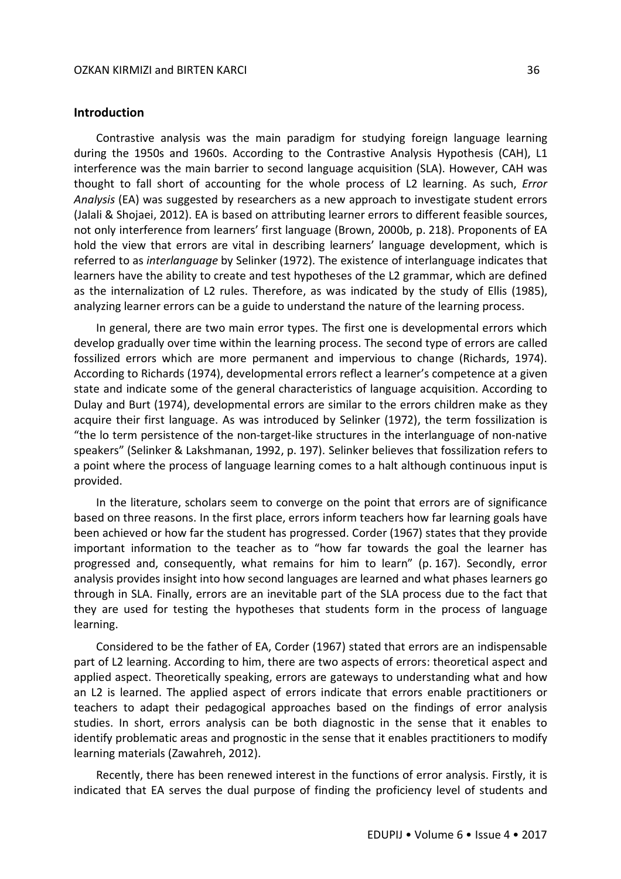#### **Introduction**

Contrastive analysis was the main paradigm for studying foreign language learning during the 1950s and 1960s. According to the Contrastive Analysis Hypothesis (CAH), L1 interference was the main barrier to second language acquisition (SLA). However, CAH was thought to fall short of accounting for the whole process of L2 learning. As such, *Error Analysis* (EA) was suggested by researchers as a new approach to investigate student errors (Jalali & Shojaei, 2012). EA is based on attributing learner errors to different feasible sources, not only interference from learners' first language (Brown, 2000b, p. 218). Proponents of EA hold the view that errors are vital in describing learners' language development, which is referred to as *interlanguage* by Selinker (1972). The existence of interlanguage indicates that learners have the ability to create and test hypotheses of the L2 grammar, which are defined as the internalization of L2 rules. Therefore, as was indicated by the study of Ellis (1985), analyzing learner errors can be a guide to understand the nature of the learning process.

In general, there are two main error types. The first one is developmental errors which develop gradually over time within the learning process. The second type of errors are called fossilized errors which are more permanent and impervious to change (Richards, 1974). According to Richards (1974), developmental errors reflect a learner's competence at a given state and indicate some of the general characteristics of language acquisition. According to Dulay and Burt (1974), developmental errors are similar to the errors children make as they acquire their first language. As was introduced by Selinker (1972), the term fossilization is "the lo term persistence of the non-target-like structures in the interlanguage of non-native speakers" (Selinker & Lakshmanan, 1992, p. 197). Selinker believes that fossilization refers to a point where the process of language learning comes to a halt although continuous input is provided.

In the literature, scholars seem to converge on the point that errors are of significance based on three reasons. In the first place, errors inform teachers how far learning goals have been achieved or how far the student has progressed. Corder (1967) states that they provide important information to the teacher as to "how far towards the goal the learner has progressed and, consequently, what remains for him to learn" (p. 167). Secondly, error analysis provides insight into how second languages are learned and what phases learners go through in SLA. Finally, errors are an inevitable part of the SLA process due to the fact that they are used for testing the hypotheses that students form in the process of language learning.

Considered to be the father of EA, Corder (1967) stated that errors are an indispensable part of L2 learning. According to him, there are two aspects of errors: theoretical aspect and applied aspect. Theoretically speaking, errors are gateways to understanding what and how an L2 is learned. The applied aspect of errors indicate that errors enable practitioners or teachers to adapt their pedagogical approaches based on the findings of error analysis studies. In short, errors analysis can be both diagnostic in the sense that it enables to identify problematic areas and prognostic in the sense that it enables practitioners to modify learning materials (Zawahreh, 2012).

Recently, there has been renewed interest in the functions of error analysis. Firstly, it is indicated that EA serves the dual purpose of finding the proficiency level of students and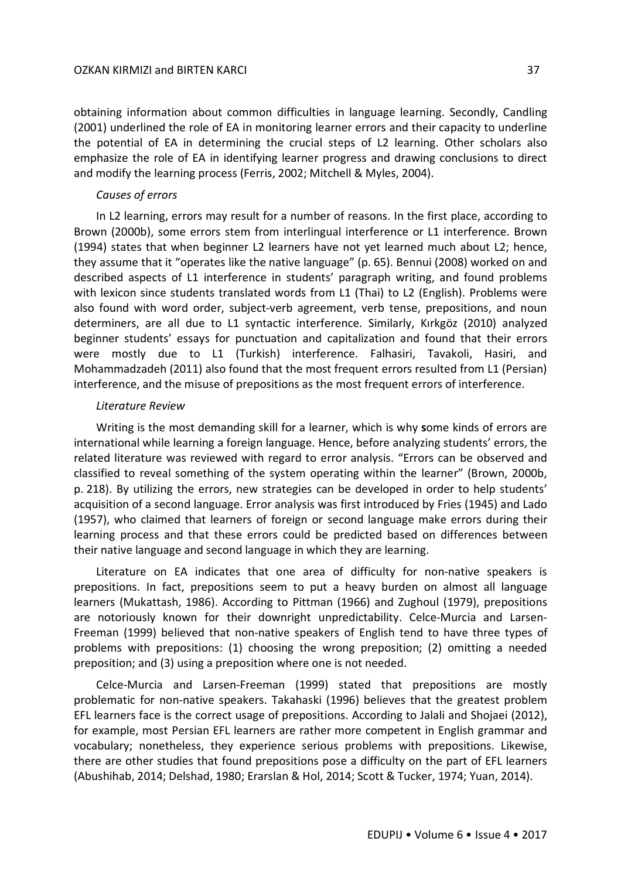obtaining information about common difficulties in language learning. Secondly, Candling (2001) underlined the role of EA in monitoring learner errors and their capacity to underline the potential of EA in determining the crucial steps of L2 learning. Other scholars also emphasize the role of EA in identifying learner progress and drawing conclusions to direct and modify the learning process (Ferris, 2002; Mitchell & Myles, 2004).

#### *Causes of errors*

In L2 learning, errors may result for a number of reasons. In the first place, according to Brown (2000b), some errors stem from interlingual interference or L1 interference. Brown (1994) states that when beginner L2 learners have not yet learned much about L2; hence, they assume that it "operates like the native language" (p. 65). Bennui (2008) worked on and described aspects of L1 interference in students' paragraph writing, and found problems with lexicon since students translated words from L1 (Thai) to L2 (English). Problems were also found with word order, subject-verb agreement, verb tense, prepositions, and noun determiners, are all due to L1 syntactic interference. Similarly, Kırkgöz (2010) analyzed beginner students' essays for punctuation and capitalization and found that their errors were mostly due to L1 (Turkish) interference. Falhasiri, Tavakoli, Hasiri, and Mohammadzadeh (2011) also found that the most frequent errors resulted from L1 (Persian) interference, and the misuse of prepositions as the most frequent errors of interference.

#### *Literature Review*

Writing is the most demanding skill for a learner, which is why **s**ome kinds of errors are international while learning a foreign language. Hence, before analyzing students' errors, the related literature was reviewed with regard to error analysis. "Errors can be observed and classified to reveal something of the system operating within the learner" (Brown, 2000b, p. 218). By utilizing the errors, new strategies can be developed in order to help students' acquisition of a second language. Error analysis was first introduced by Fries (1945) and Lado (1957), who claimed that learners of foreign or second language make errors during their learning process and that these errors could be predicted based on differences between their native language and second language in which they are learning.

Literature on EA indicates that one area of difficulty for non-native speakers is prepositions. In fact, prepositions seem to put a heavy burden on almost all language learners (Mukattash, 1986). According to Pittman (1966) and Zughoul (1979), prepositions are notoriously known for their downright unpredictability. Celce-Murcia and Larsen-Freeman (1999) believed that non-native speakers of English tend to have three types of problems with prepositions: (1) choosing the wrong preposition; (2) omitting a needed preposition; and (3) using a preposition where one is not needed.

Celce-Murcia and Larsen-Freeman (1999) stated that prepositions are mostly problematic for non-native speakers. Takahaski (1996) believes that the greatest problem EFL learners face is the correct usage of prepositions. According to Jalali and Shojaei (2012), for example, most Persian EFL learners are rather more competent in English grammar and vocabulary; nonetheless, they experience serious problems with prepositions. Likewise, there are other studies that found prepositions pose a difficulty on the part of EFL learners (Abushihab, 2014; Delshad, 1980; Erarslan & Hol, 2014; Scott & Tucker, 1974; Yuan, 2014).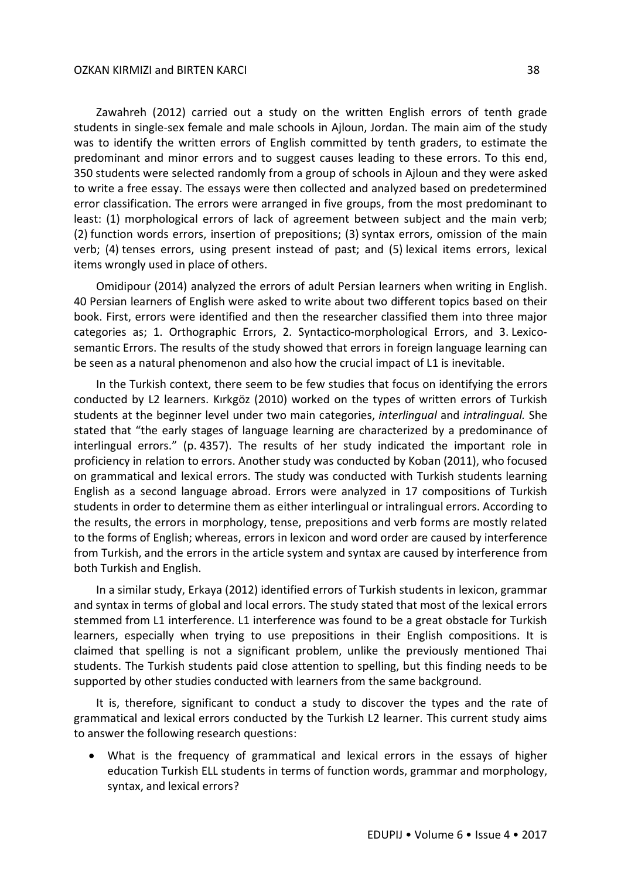#### OZKAN KIRMIZI and BIRTEN KARCI 38

Zawahreh (2012) carried out a study on the written English errors of tenth grade students in single-sex female and male schools in Ajloun, Jordan. The main aim of the study was to identify the written errors of English committed by tenth graders, to estimate the predominant and minor errors and to suggest causes leading to these errors. To this end, 350 students were selected randomly from a group of schools in Ajloun and they were asked to write a free essay. The essays were then collected and analyzed based on predetermined error classification. The errors were arranged in five groups, from the most predominant to least: (1) morphological errors of lack of agreement between subject and the main verb; (2) function words errors, insertion of prepositions; (3) syntax errors, omission of the main verb; (4) tenses errors, using present instead of past; and (5) lexical items errors, lexical items wrongly used in place of others.

Omidipour (2014) analyzed the errors of adult Persian learners when writing in English. 40 Persian learners of English were asked to write about two different topics based on their book. First, errors were identified and then the researcher classified them into three major categories as; 1. Orthographic Errors, 2. Syntactico-morphological Errors, and 3. Lexicosemantic Errors. The results of the study showed that errors in foreign language learning can be seen as a natural phenomenon and also how the crucial impact of L1 is inevitable.

In the Turkish context, there seem to be few studies that focus on identifying the errors conducted by L2 learners. Kırkgöz (2010) worked on the types of written errors of Turkish students at the beginner level under two main categories, *interlingual* and *intralingual.* She stated that "the early stages of language learning are characterized by a predominance of interlingual errors." (p. 4357). The results of her study indicated the important role in proficiency in relation to errors. Another study was conducted by Koban (2011), who focused on grammatical and lexical errors. The study was conducted with Turkish students learning English as a second language abroad. Errors were analyzed in 17 compositions of Turkish students in order to determine them as either interlingual or intralingual errors. According to the results, the errors in morphology, tense, prepositions and verb forms are mostly related to the forms of English; whereas, errors in lexicon and word order are caused by interference from Turkish, and the errors in the article system and syntax are caused by interference from both Turkish and English.

In a similar study, Erkaya (2012) identified errors of Turkish students in lexicon, grammar and syntax in terms of global and local errors. The study stated that most of the lexical errors stemmed from L1 interference. L1 interference was found to be a great obstacle for Turkish learners, especially when trying to use prepositions in their English compositions. It is claimed that spelling is not a significant problem, unlike the previously mentioned Thai students. The Turkish students paid close attention to spelling, but this finding needs to be supported by other studies conducted with learners from the same background.

It is, therefore, significant to conduct a study to discover the types and the rate of grammatical and lexical errors conducted by the Turkish L2 learner. This current study aims to answer the following research questions:

 What is the frequency of grammatical and lexical errors in the essays of higher education Turkish ELL students in terms of function words, grammar and morphology, syntax, and lexical errors?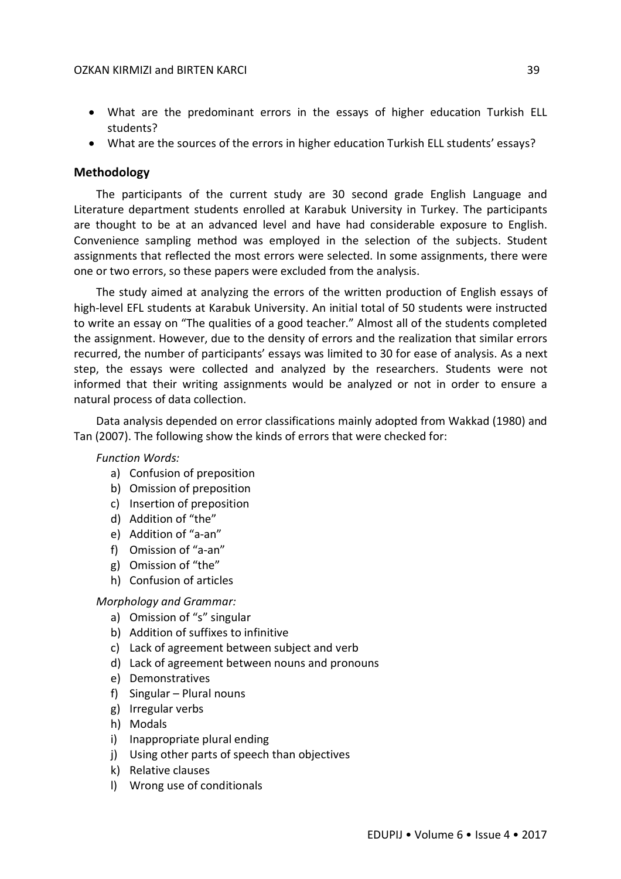- What are the predominant errors in the essays of higher education Turkish ELL students?
- What are the sources of the errors in higher education Turkish ELL students' essays?

### **Methodology**

The participants of the current study are 30 second grade English Language and Literature department students enrolled at Karabuk University in Turkey. The participants are thought to be at an advanced level and have had considerable exposure to English. Convenience sampling method was employed in the selection of the subjects. Student assignments that reflected the most errors were selected. In some assignments, there were one or two errors, so these papers were excluded from the analysis.

The study aimed at analyzing the errors of the written production of English essays of high-level EFL students at Karabuk University. An initial total of 50 students were instructed to write an essay on "The qualities of a good teacher." Almost all of the students completed the assignment. However, due to the density of errors and the realization that similar errors recurred, the number of participants' essays was limited to 30 for ease of analysis. As a next step, the essays were collected and analyzed by the researchers. Students were not informed that their writing assignments would be analyzed or not in order to ensure a natural process of data collection.

Data analysis depended on error classifications mainly adopted from Wakkad (1980) and Tan (2007). The following show the kinds of errors that were checked for:

*Function Words:* 

- a) Confusion of preposition
- b) Omission of preposition
- c) Insertion of preposition
- d) Addition of "the"
- e) Addition of "a-an"
- f) Omission of "a-an"
- g) Omission of "the"
- h) Confusion of articles

#### *Morphology and Grammar:*

- a) Omission of "s" singular
- b) Addition of suffixes to infinitive
- c) Lack of agreement between subject and verb
- d) Lack of agreement between nouns and pronouns
- e) Demonstratives
- f) Singular Plural nouns
- g) Irregular verbs
- h) Modals
- i) Inappropriate plural ending
- j) Using other parts of speech than objectives
- k) Relative clauses
- l) Wrong use of conditionals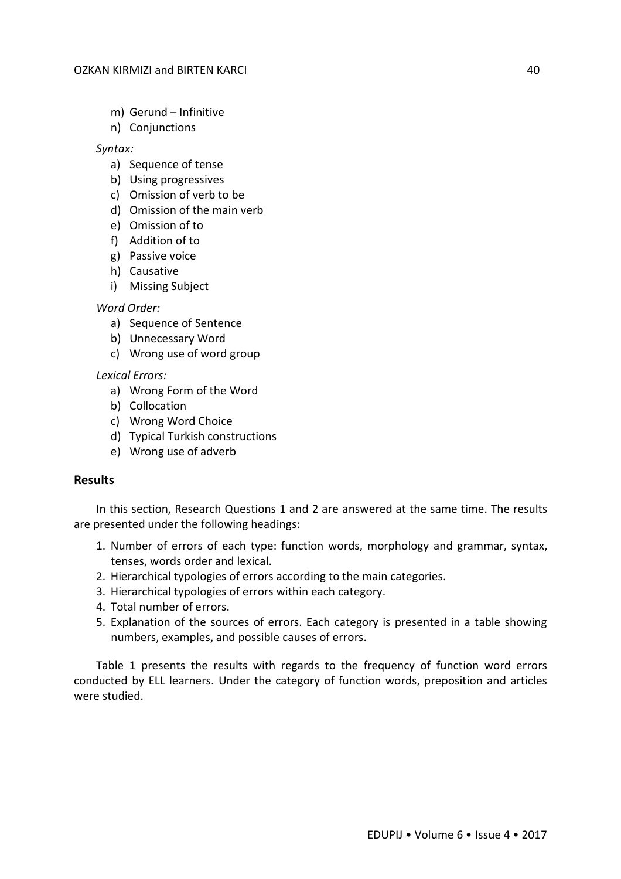- m) Gerund Infinitive
- n) Conjunctions

#### *Syntax:*

- a) Sequence of tense
- b) Using progressives
- c) Omission of verb to be
- d) Omission of the main verb
- e) Omission of to
- f) Addition of to
- g) Passive voice
- h) Causative
- i) Missing Subject

## *Word Order:*

- a) Sequence of Sentence
- b) Unnecessary Word
- c) Wrong use of word group

#### *Lexical Errors:*

- a) Wrong Form of the Word
- b) Collocation
- c) Wrong Word Choice
- d) Typical Turkish constructions
- e) Wrong use of adverb

#### **Results**

In this section, Research Questions 1 and 2 are answered at the same time. The results are presented under the following headings:

- 1. Number of errors of each type: function words, morphology and grammar, syntax, tenses, words order and lexical.
- 2. Hierarchical typologies of errors according to the main categories.
- 3. Hierarchical typologies of errors within each category.
- 4. Total number of errors.
- 5. Explanation of the sources of errors. Each category is presented in a table showing numbers, examples, and possible causes of errors.

Table 1 presents the results with regards to the frequency of function word errors conducted by ELL learners. Under the category of function words, preposition and articles were studied.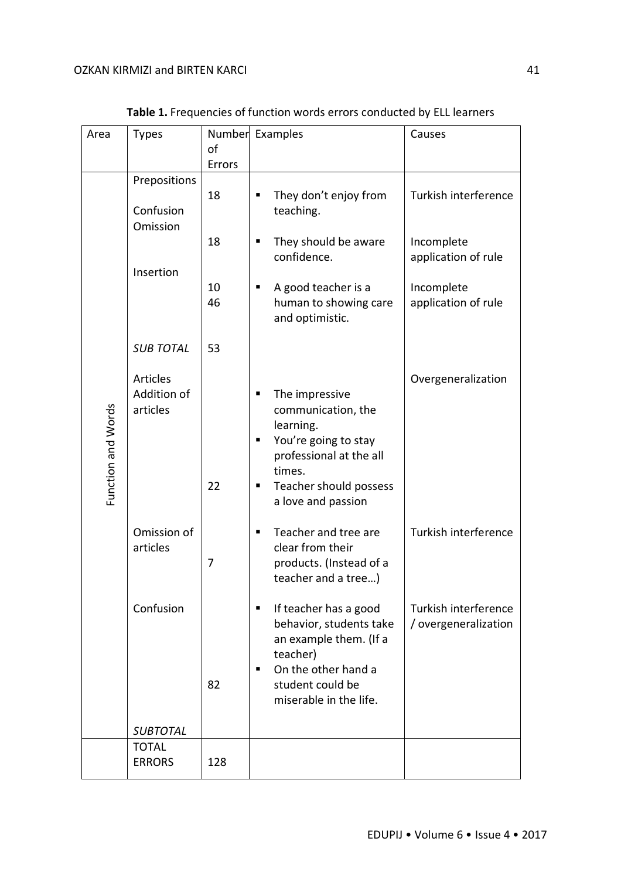| Area               | <b>Types</b>                                       | оf       | Number Examples                                                                                                                                                               | Causes                                                    |
|--------------------|----------------------------------------------------|----------|-------------------------------------------------------------------------------------------------------------------------------------------------------------------------------|-----------------------------------------------------------|
|                    |                                                    | Errors   |                                                                                                                                                                               |                                                           |
|                    | Prepositions<br>Confusion<br>Omission<br>Insertion | 18<br>18 | They don't enjoy from<br>п<br>teaching.<br>They should be aware<br>п<br>confidence.                                                                                           | Turkish interference<br>Incomplete<br>application of rule |
|                    |                                                    | 10<br>46 | A good teacher is a<br>п<br>human to showing care<br>and optimistic.                                                                                                          | Incomplete<br>application of rule                         |
|                    | <b>SUB TOTAL</b>                                   | 53       |                                                                                                                                                                               |                                                           |
| Function and Words | Articles<br>Addition of<br>articles                | 22       | The impressive<br>п<br>communication, the<br>learning.<br>You're going to stay<br>п<br>professional at the all<br>times.<br>Teacher should possess<br>п<br>a love and passion | Overgeneralization                                        |
|                    | Omission of<br>articles                            | 7        | Teacher and tree are<br>٠<br>clear from their<br>products. (Instead of a<br>teacher and a tree)                                                                               | Turkish interference                                      |
|                    | Confusion                                          | 82       | If teacher has a good<br>п<br>behavior, students take<br>an example them. (If a<br>teacher)<br>On the other hand a<br>٠<br>student could be<br>miserable in the life.         | Turkish interference<br>/ overgeneralization              |
|                    | <b>SUBTOTAL</b>                                    |          |                                                                                                                                                                               |                                                           |
|                    | <b>TOTAL</b><br><b>ERRORS</b>                      | 128      |                                                                                                                                                                               |                                                           |

**Table 1.** Frequencies of function words errors conducted by ELL learners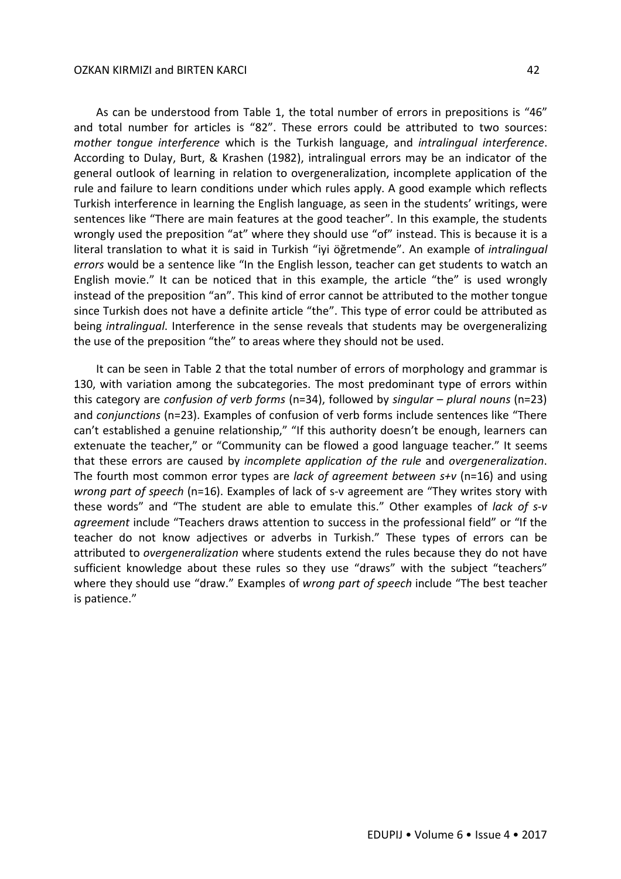As can be understood from Table 1, the total number of errors in prepositions is "46" and total number for articles is "82". These errors could be attributed to two sources: *mother tongue interference* which is the Turkish language, and *intralingual interference*. According to Dulay, Burt, & Krashen (1982), intralingual errors may be an indicator of the general outlook of learning in relation to overgeneralization, incomplete application of the rule and failure to learn conditions under which rules apply. A good example which reflects Turkish interference in learning the English language, as seen in the students' writings, were sentences like "There are main features at the good teacher". In this example, the students wrongly used the preposition "at" where they should use "of" instead. This is because it is a literal translation to what it is said in Turkish "iyi öğretmende". An example of *intralingual errors* would be a sentence like "In the English lesson, teacher can get students to watch an English movie." It can be noticed that in this example, the article "the" is used wrongly instead of the preposition "an". This kind of error cannot be attributed to the mother tongue since Turkish does not have a definite article "the". This type of error could be attributed as being *intralingual*. Interference in the sense reveals that students may be overgeneralizing the use of the preposition "the" to areas where they should not be used.

It can be seen in Table 2 that the total number of errors of morphology and grammar is 130, with variation among the subcategories. The most predominant type of errors within this category are *confusion of verb forms* (n=34), followed by *singular – plural nouns* (n=23) and *conjunctions* (n=23). Examples of confusion of verb forms include sentences like "There can't established a genuine relationship," "If this authority doesn't be enough, learners can extenuate the teacher," or "Community can be flowed a good language teacher." It seems that these errors are caused by *incomplete application of the rule* and *overgeneralization*. The fourth most common error types are *lack of agreement between s+v* (n=16) and using *wrong part of speech* (n=16). Examples of lack of s-v agreement are "They writes story with these words" and "The student are able to emulate this." Other examples of *lack of s-v agreement* include "Teachers draws attention to success in the professional field" or "If the teacher do not know adjectives or adverbs in Turkish." These types of errors can be attributed to *overgeneralization* where students extend the rules because they do not have sufficient knowledge about these rules so they use "draws" with the subject "teachers" where they should use "draw." Examples of *wrong part of speech* include "The best teacher is patience."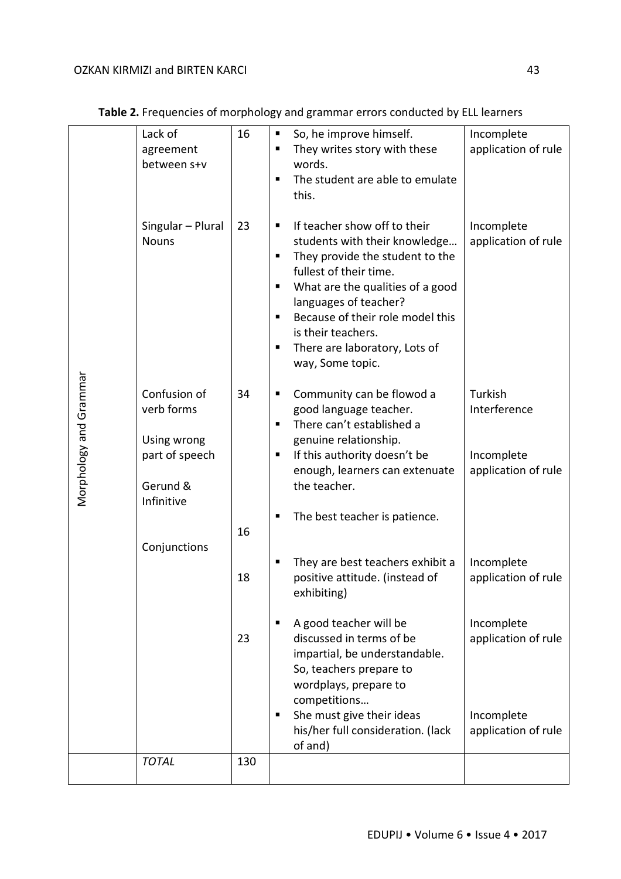|                        | Lack of                                   | 16  | So, he improve himself.<br>п                                                                                                                                                                                                                                                                                                    | Incomplete                                      |
|------------------------|-------------------------------------------|-----|---------------------------------------------------------------------------------------------------------------------------------------------------------------------------------------------------------------------------------------------------------------------------------------------------------------------------------|-------------------------------------------------|
|                        | agreement<br>between s+v                  |     | They writes story with these<br>٠<br>words.<br>The student are able to emulate<br>П<br>this.                                                                                                                                                                                                                                    | application of rule                             |
|                        | Singular - Plural<br><b>Nouns</b>         | 23  | If teacher show off to their<br>٠<br>students with their knowledge<br>They provide the student to the<br>П<br>fullest of their time.<br>What are the qualities of a good<br>٠<br>languages of teacher?<br>Because of their role model this<br>П<br>is their teachers.<br>There are laboratory, Lots of<br>п<br>way, Some topic. | Incomplete<br>application of rule               |
| Morphology and Grammar | Confusion of<br>verb forms<br>Using wrong | 34  | Community can be flowod a<br>п<br>good language teacher.<br>There can't established a<br>п<br>genuine relationship.                                                                                                                                                                                                             | Turkish<br>Interference                         |
|                        | part of speech<br>Gerund &<br>Infinitive  |     | If this authority doesn't be<br>п<br>enough, learners can extenuate<br>the teacher.                                                                                                                                                                                                                                             | Incomplete<br>application of rule               |
|                        | Conjunctions                              | 16  | The best teacher is patience.<br>п                                                                                                                                                                                                                                                                                              |                                                 |
|                        |                                           | 18  | They are best teachers exhibit a<br>positive attitude. (instead of<br>exhibiting)                                                                                                                                                                                                                                               | Incomplete<br>application of rule               |
|                        |                                           | 23  | A good teacher will be<br>п<br>discussed in terms of be<br>impartial, be understandable.<br>So, teachers prepare to<br>wordplays, prepare to<br>competitions<br>She must give their ideas<br>٠                                                                                                                                  | Incomplete<br>application of rule<br>Incomplete |
|                        |                                           |     | his/her full consideration. (lack<br>of and)                                                                                                                                                                                                                                                                                    | application of rule                             |
|                        | <b>TOTAL</b>                              | 130 |                                                                                                                                                                                                                                                                                                                                 |                                                 |

**Table 2.** Frequencies of morphology and grammar errors conducted by ELL learners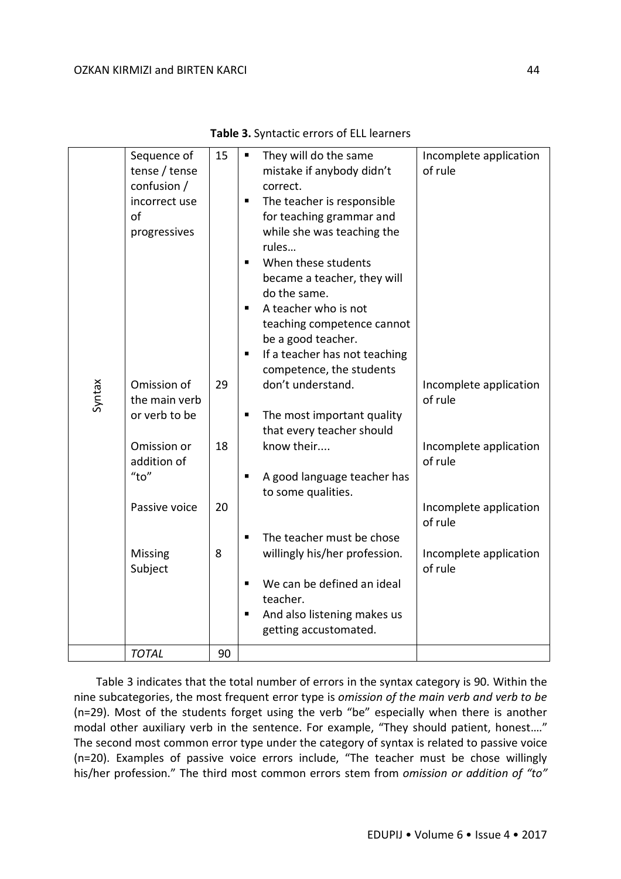| Sequence of<br>They will do the same<br>15<br>п<br>of rule<br>tense / tense<br>mistake if anybody didn't<br>confusion /<br>correct.<br>The teacher is responsible<br>incorrect use<br>٠<br>of<br>for teaching grammar and<br>progressives<br>while she was teaching the<br>rules<br>When these students<br>$\blacksquare$<br>became a teacher, they will<br>do the same.<br>A teacher who is not<br>$\blacksquare$<br>teaching competence cannot<br>be a good teacher.<br>If a teacher has not teaching<br>$\blacksquare$<br>competence, the students<br>Syntax<br>don't understand.<br>Omission of<br>29<br>of rule<br>the main verb<br>or verb to be<br>The most important quality<br>٠<br>that every teacher should<br>know their<br>Omission or<br>18<br>of rule<br>addition of<br>"to"<br>A good language teacher has<br>to some qualities.<br>Passive voice<br>20<br>of rule<br>The teacher must be chose<br>8<br><b>Missing</b><br>willingly his/her profession.<br>Subject<br>of rule<br>We can be defined an ideal<br>٠<br>teacher.<br>And also listening makes us<br>getting accustomated. |  |  |                                                                                                                                |  |
|------------------------------------------------------------------------------------------------------------------------------------------------------------------------------------------------------------------------------------------------------------------------------------------------------------------------------------------------------------------------------------------------------------------------------------------------------------------------------------------------------------------------------------------------------------------------------------------------------------------------------------------------------------------------------------------------------------------------------------------------------------------------------------------------------------------------------------------------------------------------------------------------------------------------------------------------------------------------------------------------------------------------------------------------------------------------------------------------------|--|--|--------------------------------------------------------------------------------------------------------------------------------|--|
|                                                                                                                                                                                                                                                                                                                                                                                                                                                                                                                                                                                                                                                                                                                                                                                                                                                                                                                                                                                                                                                                                                      |  |  | Incomplete application<br>Incomplete application<br>Incomplete application<br>Incomplete application<br>Incomplete application |  |
| <b>TOTAL</b><br>90                                                                                                                                                                                                                                                                                                                                                                                                                                                                                                                                                                                                                                                                                                                                                                                                                                                                                                                                                                                                                                                                                   |  |  |                                                                                                                                |  |

**Table 3.** Syntactic errors of ELL learners

Table 3 indicates that the total number of errors in the syntax category is 90. Within the nine subcategories, the most frequent error type is *omission of the main verb and verb to be*  (n=29). Most of the students forget using the verb "be" especially when there is another modal other auxiliary verb in the sentence. For example, "They should patient, honest…." The second most common error type under the category of syntax is related to passive voice (n=20). Examples of passive voice errors include, "The teacher must be chose willingly his/her profession." The third most common errors stem from *omission or addition of "to"*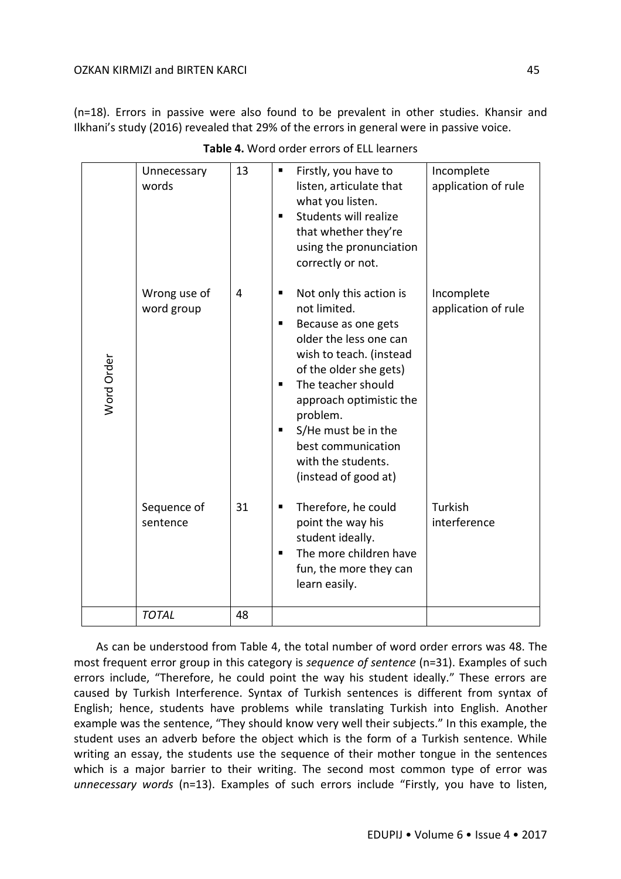(n=18). Errors in passive were also found to be prevalent in other studies. Khansir and Ilkhani's study (2016) revealed that 29% of the errors in general were in passive voice.

|            | Unnecessary<br>words       | 13 | Firstly, you have to<br>$\blacksquare$<br>listen, articulate that<br>what you listen.<br>Students will realize<br>that whether they're<br>using the pronunciation<br>correctly or not.                                                                                                                                    | Incomplete<br>application of rule |
|------------|----------------------------|----|---------------------------------------------------------------------------------------------------------------------------------------------------------------------------------------------------------------------------------------------------------------------------------------------------------------------------|-----------------------------------|
| Word Order | Wrong use of<br>word group | 4  | Not only this action is<br>п<br>not limited.<br>Because as one gets<br>٠<br>older the less one can<br>wish to teach. (instead<br>of the older she gets)<br>The teacher should<br>٠<br>approach optimistic the<br>problem.<br>S/He must be in the<br>٠<br>best communication<br>with the students.<br>(instead of good at) | Incomplete<br>application of rule |
|            | Sequence of<br>sentence    | 31 | Therefore, he could<br>п<br>point the way his<br>student ideally.<br>The more children have<br>٠<br>fun, the more they can<br>learn easily.                                                                                                                                                                               | Turkish<br>interference           |
|            | <b>TOTAL</b>               | 48 |                                                                                                                                                                                                                                                                                                                           |                                   |

As can be understood from Table 4, the total number of word order errors was 48. The most frequent error group in this category is *sequence of sentence* (n=31). Examples of such errors include, "Therefore, he could point the way his student ideally." These errors are caused by Turkish Interference. Syntax of Turkish sentences is different from syntax of English; hence, students have problems while translating Turkish into English. Another example was the sentence, "They should know very well their subjects." In this example, the student uses an adverb before the object which is the form of a Turkish sentence. While writing an essay, the students use the sequence of their mother tongue in the sentences which is a major barrier to their writing. The second most common type of error was *unnecessary words* (n=13). Examples of such errors include "Firstly, you have to listen,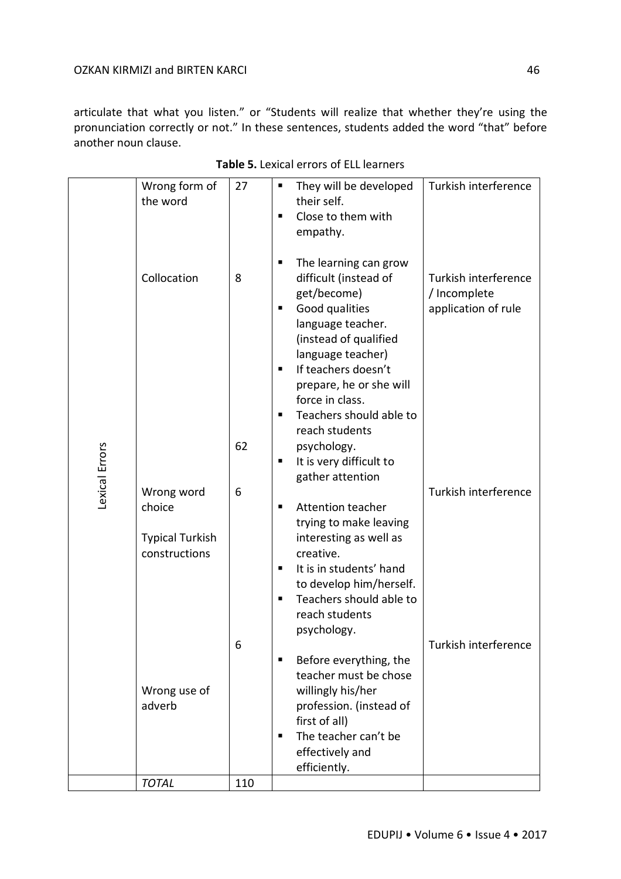## OZKAN KIRMIZI and BIRTEN KARCI 46

articulate that what you listen." or "Students will realize that whether they're using the pronunciation correctly or not." In these sentences, students added the word "that" before another noun clause.

|                | Wrong form of<br>the word                                                                      | 27                | They will be developed<br>٠<br>their self.<br>Close to them with<br>empathy.                                                                                                                                                                                                                                                                                                                                                                                                                                                                                                                                                                                           | Turkish interference                                                                                        |
|----------------|------------------------------------------------------------------------------------------------|-------------------|------------------------------------------------------------------------------------------------------------------------------------------------------------------------------------------------------------------------------------------------------------------------------------------------------------------------------------------------------------------------------------------------------------------------------------------------------------------------------------------------------------------------------------------------------------------------------------------------------------------------------------------------------------------------|-------------------------------------------------------------------------------------------------------------|
| Lexical Errors | Collocation<br>Wrong word<br>choice<br><b>Typical Turkish</b><br>constructions<br>Wrong use of | 8<br>62<br>6<br>6 | The learning can grow<br>п<br>difficult (instead of<br>get/become)<br>Good qualities<br>٠<br>language teacher.<br>(instead of qualified<br>language teacher)<br>If teachers doesn't<br>٠<br>prepare, he or she will<br>force in class.<br>Teachers should able to<br>٠<br>reach students<br>psychology.<br>It is very difficult to<br>п<br>gather attention<br><b>Attention teacher</b><br>п<br>trying to make leaving<br>interesting as well as<br>creative.<br>It is in students' hand<br>٠<br>to develop him/herself.<br>Teachers should able to<br>٠<br>reach students<br>psychology.<br>Before everything, the<br>٠<br>teacher must be chose<br>willingly his/her | Turkish interference<br>/ Incomplete<br>application of rule<br>Turkish interference<br>Turkish interference |
|                | adverb                                                                                         |                   | profession. (instead of<br>first of all)<br>The teacher can't be<br>п<br>effectively and                                                                                                                                                                                                                                                                                                                                                                                                                                                                                                                                                                               |                                                                                                             |
|                |                                                                                                |                   | efficiently.                                                                                                                                                                                                                                                                                                                                                                                                                                                                                                                                                                                                                                                           |                                                                                                             |
|                | <b>TOTAL</b>                                                                                   | 110               |                                                                                                                                                                                                                                                                                                                                                                                                                                                                                                                                                                                                                                                                        |                                                                                                             |

|  | Table 5. Lexical errors of ELL learners |  |
|--|-----------------------------------------|--|
|--|-----------------------------------------|--|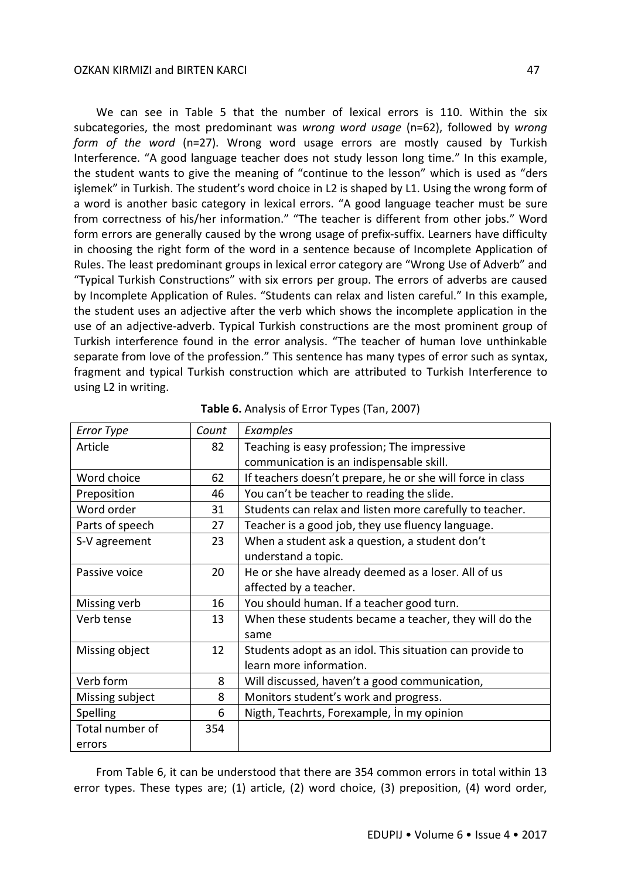We can see in Table 5 that the number of lexical errors is 110. Within the six subcategories, the most predominant was *wrong word usage* (n=62), followed by *wrong form of the word* (n=27). Wrong word usage errors are mostly caused by Turkish Interference. "A good language teacher does not study lesson long time." In this example, the student wants to give the meaning of "continue to the lesson" which is used as "ders işlemek" in Turkish. The student's word choice in L2 is shaped by L1. Using the wrong form of a word is another basic category in lexical errors. "A good language teacher must be sure from correctness of his/her information." "The teacher is different from other jobs." Word form errors are generally caused by the wrong usage of prefix-suffix. Learners have difficulty in choosing the right form of the word in a sentence because of Incomplete Application of Rules. The least predominant groups in lexical error category are "Wrong Use of Adverb" and "Typical Turkish Constructions" with six errors per group. The errors of adverbs are caused by Incomplete Application of Rules. "Students can relax and listen careful." In this example, the student uses an adjective after the verb which shows the incomplete application in the use of an adjective-adverb. Typical Turkish constructions are the most prominent group of Turkish interference found in the error analysis. "The teacher of human love unthinkable separate from love of the profession." This sentence has many types of error such as syntax, fragment and typical Turkish construction which are attributed to Turkish Interference to using L2 in writing.

| <b>Error Type</b> | Count | Examples                                                   |
|-------------------|-------|------------------------------------------------------------|
| Article           | 82    | Teaching is easy profession; The impressive                |
|                   |       | communication is an indispensable skill.                   |
| Word choice       | 62    | If teachers doesn't prepare, he or she will force in class |
| Preposition       | 46    | You can't be teacher to reading the slide.                 |
| Word order        | 31    | Students can relax and listen more carefully to teacher.   |
| Parts of speech   | 27    | Teacher is a good job, they use fluency language.          |
| S-V agreement     | 23    | When a student ask a question, a student don't             |
|                   |       | understand a topic.                                        |
| Passive voice     | 20    | He or she have already deemed as a loser. All of us        |
|                   |       | affected by a teacher.                                     |
| Missing verb      | 16    | You should human. If a teacher good turn.                  |
| Verb tense        | 13    | When these students became a teacher, they will do the     |
|                   |       | same                                                       |
| Missing object    | 12    | Students adopt as an idol. This situation can provide to   |
|                   |       | learn more information.                                    |
| Verb form         | 8     | Will discussed, haven't a good communication,              |
| Missing subject   | 8     | Monitors student's work and progress.                      |
| Spelling          | 6     | Nigth, Teachrts, Forexample, In my opinion                 |
| Total number of   | 354   |                                                            |
| errors            |       |                                                            |

| Table 6. Analysis of Error Types (Tan, 2007) |  |  |
|----------------------------------------------|--|--|
|----------------------------------------------|--|--|

From Table 6, it can be understood that there are 354 common errors in total within 13 error types. These types are; (1) article, (2) word choice, (3) preposition, (4) word order,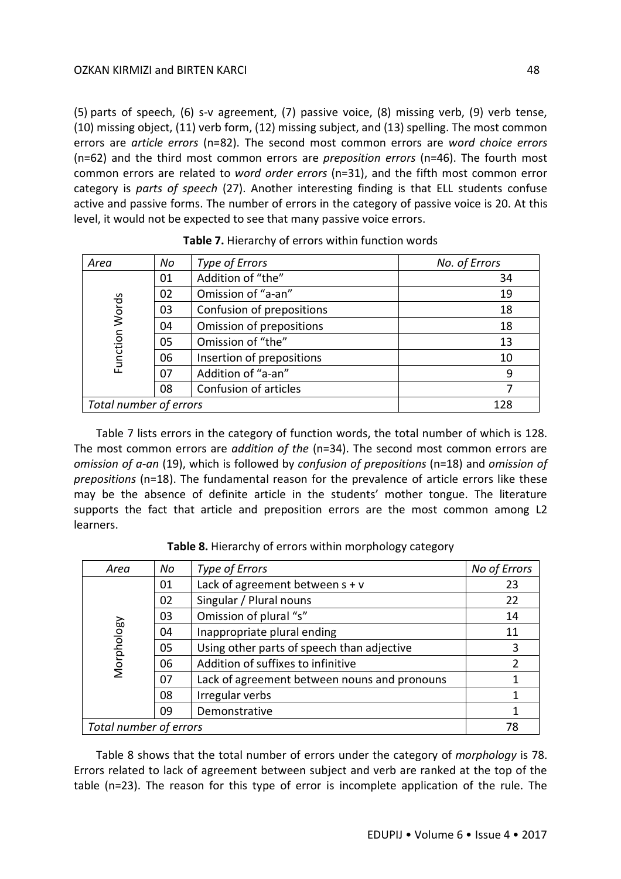(5) parts of speech, (6) s-v agreement, (7) passive voice, (8) missing verb, (9) verb tense, (10) missing object, (11) verb form, (12) missing subject, and (13) spelling. The most common errors are *article errors* (n=82). The second most common errors are *word choice errors* (n=62) and the third most common errors are *preposition errors* (n=46). The fourth most common errors are related to *word order errors* (n=31), and the fifth most common error category is *parts of speech* (27). Another interesting finding is that ELL students confuse active and passive forms. The number of errors in the category of passive voice is 20. At this level, it would not be expected to see that many passive voice errors.

| Area                   | No | Type of Errors            | No. of Errors |
|------------------------|----|---------------------------|---------------|
|                        | 01 | Addition of "the"         | 34            |
|                        | 02 | Omission of "a-an"        | 19            |
|                        | 03 | Confusion of prepositions | 18            |
|                        | 04 | Omission of prepositions  | 18            |
| Function Words         | 05 | Omission of "the"         | 13            |
|                        | 06 | Insertion of prepositions | 10            |
|                        | 07 | Addition of "a-an"        | 9             |
|                        | 08 | Confusion of articles     |               |
| Total number of errors |    | 128                       |               |

Table 7 lists errors in the category of function words, the total number of which is 128. The most common errors are *addition of the* (n=34). The second most common errors are *omission of a-an* (19), which is followed by *confusion of prepositions* (n=18) and *omission of prepositions* (n=18). The fundamental reason for the prevalence of article errors like these may be the absence of definite article in the students' mother tongue. The literature supports the fact that article and preposition errors are the most common among L2 learners.

**Table 8.** Hierarchy of errors within morphology category

| Area                   | No | Type of Errors                               | No of Errors |
|------------------------|----|----------------------------------------------|--------------|
|                        | 01 | Lack of agreement between $s + v$            | 23           |
|                        | 02 | Singular / Plural nouns                      | 22           |
|                        | 03 | Omission of plural "s"                       | 14           |
| Morphology             | 04 | Inappropriate plural ending                  | 11           |
|                        | 05 | Using other parts of speech than adjective   | 3            |
|                        | 06 | Addition of suffixes to infinitive           |              |
|                        | 07 | Lack of agreement between nouns and pronouns |              |
|                        | 08 | Irregular verbs                              |              |
|                        | 09 |                                              |              |
| Total number of errors |    | 78                                           |              |

Table 8 shows that the total number of errors under the category of *morphology* is 78. Errors related to lack of agreement between subject and verb are ranked at the top of the table (n=23). The reason for this type of error is incomplete application of the rule. The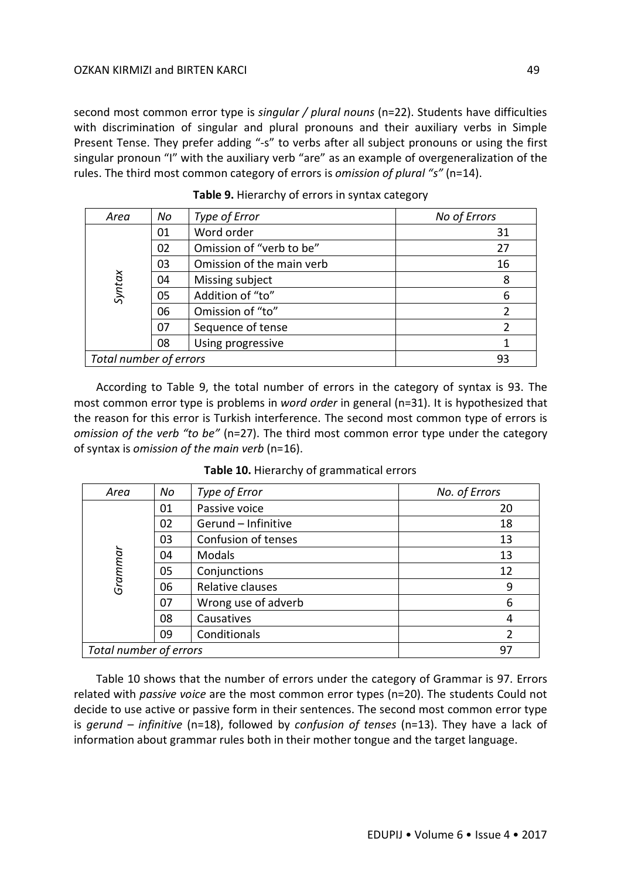second most common error type is *singular / plural nouns* (n=22). Students have difficulties with discrimination of singular and plural pronouns and their auxiliary verbs in Simple Present Tense. They prefer adding "-s" to verbs after all subject pronouns or using the first singular pronoun "I" with the auxiliary verb "are" as an example of overgeneralization of the rules. The third most common category of errors is *omission of plural "s"* (n=14).

| Area                   | No | Type of Error             | No of Errors  |
|------------------------|----|---------------------------|---------------|
| Syntax                 | 01 | Word order                | 31            |
|                        | 02 | Omission of "verb to be"  | 27            |
|                        | 03 | Omission of the main verb | 16            |
|                        | 04 | Missing subject           | 8             |
|                        | 05 | Addition of "to"          | 6             |
|                        | 06 | Omission of "to"          | $\mathcal{P}$ |
|                        | 07 | Sequence of tense         | 2             |
|                        | 08 | Using progressive         |               |
| Total number of errors |    |                           | 93            |

**Table 9.** Hierarchy of errors in syntax category

According to Table 9, the total number of errors in the category of syntax is 93. The most common error type is problems in *word order* in general (n=31). It is hypothesized that the reason for this error is Turkish interference. The second most common type of errors is *omission of the verb "to be"* (n=27). The third most common error type under the category of syntax is *omission of the main verb* (n=16).

| Area                   | No | Type of Error       | No. of Errors  |
|------------------------|----|---------------------|----------------|
| Grammar                | 01 | Passive voice       | 20             |
|                        | 02 | Gerund - Infinitive | 18             |
|                        | 03 | Confusion of tenses | 13             |
|                        | 04 | <b>Modals</b>       | 13             |
|                        | 05 | Conjunctions        | 12             |
|                        | 06 | Relative clauses    | 9              |
|                        | 07 | Wrong use of adverb | 6              |
|                        | 08 | Causatives          | 4              |
|                        | 09 | Conditionals        | $\overline{2}$ |
| Total number of errors |    |                     | 97             |

**Table 10.** Hierarchy of grammatical errors

Table 10 shows that the number of errors under the category of Grammar is 97. Errors related with *passive voice* are the most common error types (n=20). The students Could not decide to use active or passive form in their sentences. The second most common error type is *gerund – infinitive* (n=18), followed by *confusion of tenses* (n=13). They have a lack of information about grammar rules both in their mother tongue and the target language.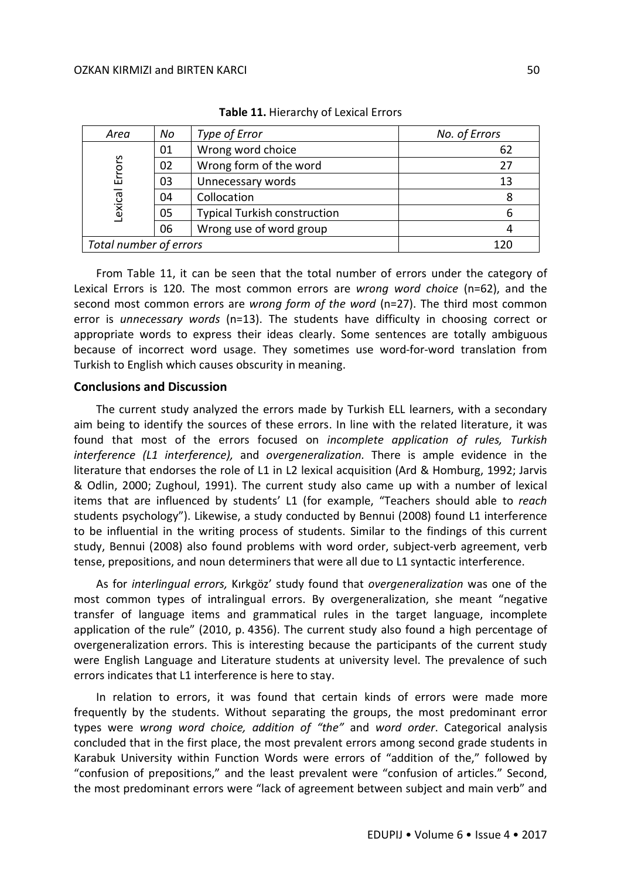| Area                   | No | Type of Error                       | No. of Errors |
|------------------------|----|-------------------------------------|---------------|
| Errors<br>Lexical      | 01 | Wrong word choice                   | 62            |
|                        | 02 | Wrong form of the word              |               |
|                        | 03 | Unnecessary words                   | 13            |
|                        | 04 | Collocation                         |               |
|                        | 05 | <b>Typical Turkish construction</b> | 6             |
|                        | 06 | Wrong use of word group             |               |
| Total number of errors |    |                                     | 120           |

**Table 11.** Hierarchy of Lexical Errors

From Table 11, it can be seen that the total number of errors under the category of Lexical Errors is 120. The most common errors are *wrong word choice* (n=62), and the second most common errors are *wrong form of the word* (n=27). The third most common error is *unnecessary words* (n=13). The students have difficulty in choosing correct or appropriate words to express their ideas clearly. Some sentences are totally ambiguous because of incorrect word usage. They sometimes use word-for-word translation from Turkish to English which causes obscurity in meaning.

#### **Conclusions and Discussion**

The current study analyzed the errors made by Turkish ELL learners, with a secondary aim being to identify the sources of these errors. In line with the related literature, it was found that most of the errors focused on *incomplete application of rules, Turkish interference (L1 interference),* and *overgeneralization.* There is ample evidence in the literature that endorses the role of L1 in L2 lexical acquisition (Ard & Homburg, 1992; Jarvis & Odlin, 2000; Zughoul, 1991). The current study also came up with a number of lexical items that are influenced by students' L1 (for example, "Teachers should able to *reach* students psychology"). Likewise, a study conducted by Bennui (2008) found L1 interference to be influential in the writing process of students. Similar to the findings of this current study, Bennui (2008) also found problems with word order, subject-verb agreement, verb tense, prepositions, and noun determiners that were all due to L1 syntactic interference.

As for *interlingual errors,* Kırkgöz' study found that *overgeneralization* was one of the most common types of intralingual errors. By overgeneralization, she meant "negative transfer of language items and grammatical rules in the target language, incomplete application of the rule" (2010, p. 4356). The current study also found a high percentage of overgeneralization errors. This is interesting because the participants of the current study were English Language and Literature students at university level. The prevalence of such errors indicates that L1 interference is here to stay.

In relation to errors, it was found that certain kinds of errors were made more frequently by the students. Without separating the groups, the most predominant error types were *wrong word choice, addition of "the"* and *word order*. Categorical analysis concluded that in the first place, the most prevalent errors among second grade students in Karabuk University within Function Words were errors of "addition of the," followed by "confusion of prepositions," and the least prevalent were "confusion of articles." Second, the most predominant errors were "lack of agreement between subject and main verb" and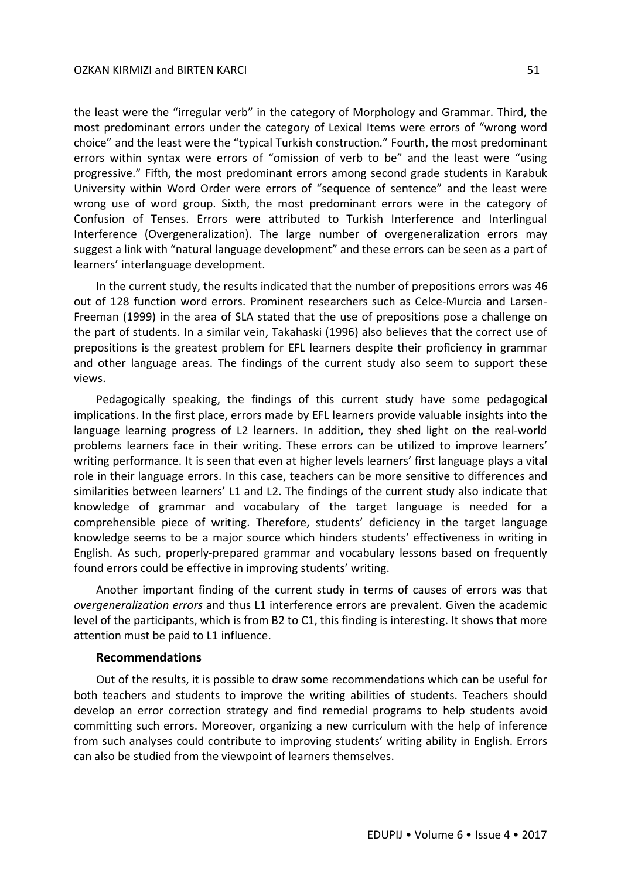the least were the "irregular verb" in the category of Morphology and Grammar. Third, the most predominant errors under the category of Lexical Items were errors of "wrong word choice" and the least were the "typical Turkish construction." Fourth, the most predominant errors within syntax were errors of "omission of verb to be" and the least were "using progressive." Fifth, the most predominant errors among second grade students in Karabuk University within Word Order were errors of "sequence of sentence" and the least were wrong use of word group. Sixth, the most predominant errors were in the category of Confusion of Tenses. Errors were attributed to Turkish Interference and Interlingual Interference (Overgeneralization). The large number of overgeneralization errors may suggest a link with "natural language development" and these errors can be seen as a part of learners' interlanguage development.

In the current study, the results indicated that the number of prepositions errors was 46 out of 128 function word errors. Prominent researchers such as Celce-Murcia and Larsen-Freeman (1999) in the area of SLA stated that the use of prepositions pose a challenge on the part of students. In a similar vein, Takahaski (1996) also believes that the correct use of prepositions is the greatest problem for EFL learners despite their proficiency in grammar and other language areas. The findings of the current study also seem to support these views.

Pedagogically speaking, the findings of this current study have some pedagogical implications. In the first place, errors made by EFL learners provide valuable insights into the language learning progress of L2 learners. In addition, they shed light on the real-world problems learners face in their writing. These errors can be utilized to improve learners' writing performance. It is seen that even at higher levels learners' first language plays a vital role in their language errors. In this case, teachers can be more sensitive to differences and similarities between learners' L1 and L2. The findings of the current study also indicate that knowledge of grammar and vocabulary of the target language is needed for a comprehensible piece of writing. Therefore, students' deficiency in the target language knowledge seems to be a major source which hinders students' effectiveness in writing in English. As such, properly-prepared grammar and vocabulary lessons based on frequently found errors could be effective in improving students' writing.

Another important finding of the current study in terms of causes of errors was that *overgeneralization errors* and thus L1 interference errors are prevalent. Given the academic level of the participants, which is from B2 to C1, this finding is interesting. It shows that more attention must be paid to L1 influence.

## **Recommendations**

Out of the results, it is possible to draw some recommendations which can be useful for both teachers and students to improve the writing abilities of students. Teachers should develop an error correction strategy and find remedial programs to help students avoid committing such errors. Moreover, organizing a new curriculum with the help of inference from such analyses could contribute to improving students' writing ability in English. Errors can also be studied from the viewpoint of learners themselves.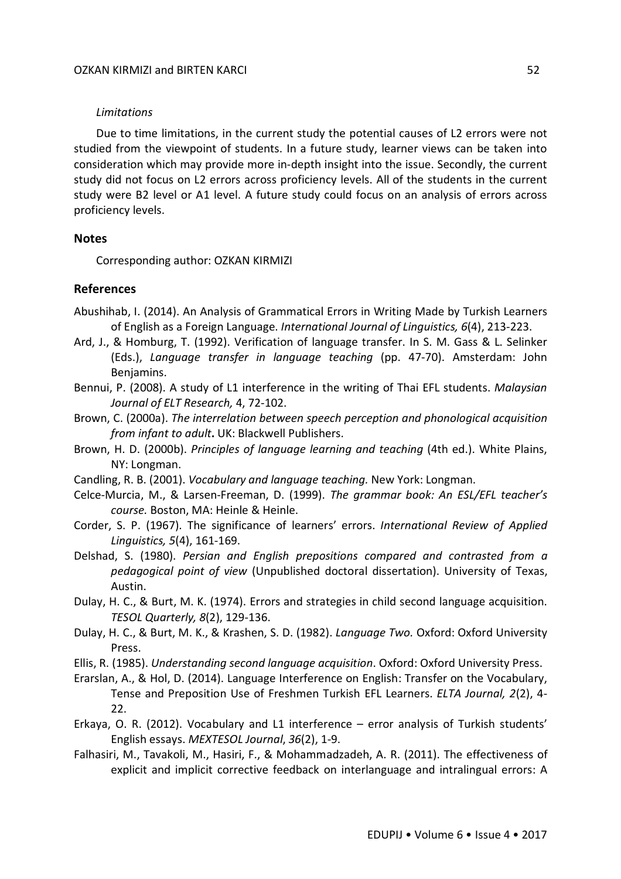#### *Limitations*

Due to time limitations, in the current study the potential causes of L2 errors were not studied from the viewpoint of students. In a future study, learner views can be taken into consideration which may provide more in-depth insight into the issue. Secondly, the current study did not focus on L2 errors across proficiency levels. All of the students in the current study were B2 level or A1 level. A future study could focus on an analysis of errors across proficiency levels.

#### **Notes**

Corresponding author: OZKAN KIRMIZI

## **References**

- Abushihab, I. (2014). An Analysis of Grammatical Errors in Writing Made by Turkish Learners of English as a Foreign Language. *International Journal of Linguistics, 6*(4), 213-223.
- Ard, J., & Homburg, T. (1992). Verification of language transfer. In S. M. Gass & L. Selinker (Eds.), *Language transfer in language teaching* (pp. 47-70). Amsterdam: John Benjamins.
- Bennui, P. (2008). A study of L1 interference in the writing of Thai EFL students. *Malaysian Journal of ELT Research,* 4, 72-102.
- Brown, C. (2000a). *The interrelation between speech perception and phonological acquisition from infant to adult***.** UK: Blackwell Publishers.
- Brown, H. D. (2000b). *Principles of language learning and teaching* (4th ed.). White Plains, NY: Longman.
- Candling, R. B. (2001). *Vocabulary and language teaching.* New York: Longman.
- Celce-Murcia, M., & Larsen-Freeman, D. (1999). *The grammar book: An ESL/EFL teacher's course.* Boston, MA: Heinle & Heinle.
- Corder, S. P. (1967). The significance of learners' errors. *International Review of Applied Linguistics, 5*(4), 161-169.
- Delshad, S. (1980). *Persian and English prepositions compared and contrasted from a pedagogical point of view* (Unpublished doctoral dissertation). University of Texas, Austin.
- Dulay, H. C., & Burt, M. K. (1974). Errors and strategies in child second language acquisition. *TESOL Quarterly, 8*(2), 129-136.
- Dulay, H. C., & Burt, M. K., & Krashen, S. D. (1982). *Language Two.* Oxford: Oxford University Press.
- Ellis, R. (1985). *Understanding second language acquisition*. Oxford: Oxford University Press.
- Erarslan, A., & Hol, D. (2014). Language Interference on English: Transfer on the Vocabulary, Tense and Preposition Use of Freshmen Turkish EFL Learners. *ELTA Journal, 2*(2), 4- 22.
- Erkaya, O. R. (2012). Vocabulary and L1 interference error analysis of Turkish students' English essays. *MEXTESOL Journal*, *36*(2), 1-9.
- Falhasiri, M., Tavakoli, M., Hasiri, F., & Mohammadzadeh, A. R. (2011). The effectiveness of explicit and implicit corrective feedback on interlanguage and intralingual errors: A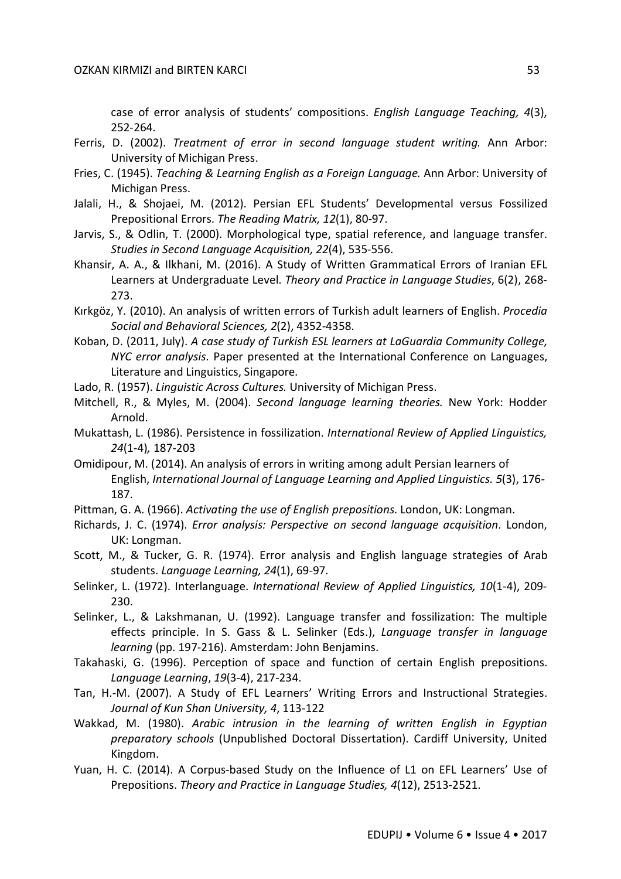case of error analysis of students' compositions. *English Language Teaching, 4*(3), 252-264.

- Ferris, D. (2002). *Treatment of error in second language student writing.* Ann Arbor: University of Michigan Press.
- Fries, C. (1945). *Teaching & Learning English as a Foreign Language.* Ann Arbor: University of Michigan Press.
- Jalali, H., & Shojaei, M. (2012). Persian EFL Students' Developmental versus Fossilized Prepositional Errors. *The Reading Matrix, 12*(1), 80-97.
- Jarvis, S., & Odlin, T. (2000). Morphological type, spatial reference, and language transfer. *Studies in Second Language Acquisition, 22*(4), 535-556.
- Khansir, A. A., & Ilkhani, M. (2016). A Study of Written Grammatical Errors of Iranian EFL Learners at Undergraduate Level. *Theory and Practice in Language Studies*, 6(2), 268- 273.
- Kırkgöz, Y. (2010). An analysis of written errors of Turkish adult learners of English. *Procedia Social and Behavioral Sciences, 2*(2), 4352-4358.
- Koban, D. (2011, July). *A case study of Turkish ESL learners at LaGuardia Community College, NYC error analysis*. Paper presented at the International Conference on Languages, Literature and Linguistics, Singapore.
- Lado, R. (1957). *Linguistic Across Cultures.* University of Michigan Press.
- Mitchell, R., & Myles, M. (2004). *Second language learning theories.* New York: Hodder Arnold.
- Mukattash, L. (1986). Persistence in fossilization. *International Review of Applied Linguistics, 24*(1-4)*,* 187-203
- Omidipour, M. (2014). An analysis of errors in writing among adult Persian learners of English, *International Journal of Language Learning and Applied Linguistics. 5*(3), 176- 187.
- Pittman, G. A. (1966). *Activating the use of English prepositions*. London, UK: Longman.
- Richards, J. C. (1974). *Error analysis: Perspective on second language acquisition*. London, UK: Longman.
- Scott, M., & Tucker, G. R. (1974). Error analysis and English language strategies of Arab students. *Language Learning, 24*(1), 69-97.
- Selinker, L. (1972). Interlanguage. *International Review of Applied Linguistics, 10*(1-4), 209- 230.
- Selinker, L., & Lakshmanan, U. (1992). Language transfer and fossilization: The multiple effects principle. In S. Gass & L. Selinker (Eds.), *Language transfer in language learning* (pp. 197-216). Amsterdam: John Benjamins.
- Takahaski, G. (1996). Perception of space and function of certain English prepositions. *Language Learning*, *19*(3-4), 217-234.
- Tan, H.-M. (2007). A Study of EFL Learners' Writing Errors and Instructional Strategies. *Journal of Kun Shan University, 4*, 113-122
- Wakkad, M. (1980). *Arabic intrusion in the learning of written English in Egyptian preparatory schools* (Unpublished Doctoral Dissertation). Cardiff University, United Kingdom.
- Yuan, H. C. (2014). A Corpus-based Study on the Influence of L1 on EFL Learners' Use of Prepositions. *Theory and Practice in Language Studies, 4*(12), 2513-2521.